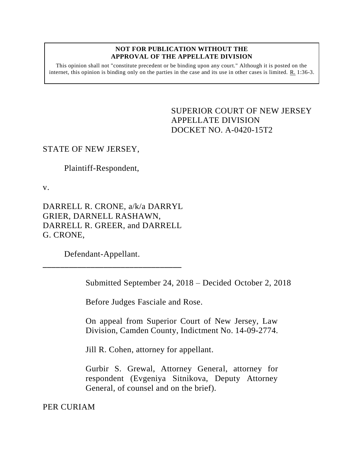#### **NOT FOR PUBLICATION WITHOUT THE APPROVAL OF THE APPELLATE DIVISION**

This opinion shall not "constitute precedent or be binding upon any court." Although it is posted on the internet, this opinion is binding only on the parties in the case and its use in other cases is limited. R. 1:36-3.

> <span id="page-0-0"></span>SUPERIOR COURT OF NEW JERSEY APPELLATE DIVISION DOCKET NO. A-0420-15T2

# STATE OF NEW JERSEY,

Plaintiff-Respondent,

v.

DARRELL R. CRONE, a/k/a DARRYL GRIER, DARNELL RASHAWN, DARRELL R. GREER, and DARRELL G. CRONE,

Defendant-Appellant.

**\_\_\_\_\_\_\_\_\_\_\_\_\_\_\_\_\_\_\_\_\_\_\_\_\_\_\_\_\_\_\_\_**

Submitted September 24, 2018 – Decided October 2, 2018

Before Judges Fasciale and Rose.

On appeal from Superior Court of New Jersey, Law Division, Camden County, Indictment No. 14-09-2774.

Jill R. Cohen, attorney for appellant.

Gurbir S. Grewal, Attorney General, attorney for respondent (Evgeniya Sitnikova, Deputy Attorney General, of counsel and on the brief).

PER CURIAM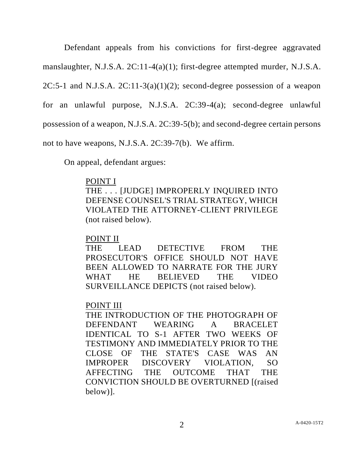Defendant appeals from his convictions for first-degree aggravated manslaughter, N.J.S.A. 2C:11-4(a)(1); first-degree attempted murder, N.J.S.A. 2C:5-1 and N.J.S.A. 2C:11-3(a)(1)(2); second-degree possession of a weapon for an unlawful purpose, N.J.S.A. 2C:39-4(a); second-degree unlawful possession of a weapon, N.J.S.A. 2C:39-5(b); and second-degree certain persons not to have weapons, N.J.S.A. 2C:39-7(b). We affirm.

On appeal, defendant argues:

## POINT I

THE . . . [JUDGE] IMPROPERLY INQUIRED INTO DEFENSE COUNSEL'S TRIAL STRATEGY, WHICH VIOLATED THE ATTORNEY-CLIENT PRIVILEGE (not raised below).

## POINT II

THE LEAD DETECTIVE FROM THE PROSECUTOR'S OFFICE SHOULD NOT HAVE BEEN ALLOWED TO NARRATE FOR THE JURY WHAT HE BELIEVED THE VIDEO SURVEILLANCE DEPICTS (not raised below).

# POINT III

THE INTRODUCTION OF THE PHOTOGRAPH OF DEFENDANT WEARING A BRACELET IDENTICAL TO S-1 AFTER TWO WEEKS OF TESTIMONY AND IMMEDIATELY PRIOR TO THE CLOSE OF THE STATE'S CASE WAS AN IMPROPER DISCOVERY VIOLATION, SO AFFECTING THE OUTCOME THAT THE CONVICTION SHOULD BE OVERTURNED [(raised below)].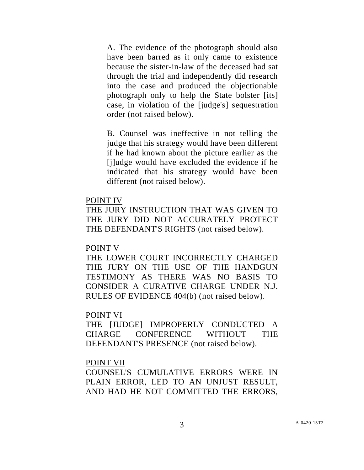A. The evidence of the photograph should also have been barred as it only came to existence because the sister-in-law of the deceased had sat through the trial and independently did research into the case and produced the objectionable photograph only to help the State bolster [its] case, in violation of the [judge's] sequestration order (not raised below).

B. Counsel was ineffective in not telling the judge that his strategy would have been different if he had known about the picture earlier as the [j]udge would have excluded the evidence if he indicated that his strategy would have been different (not raised below).

### POINT IV

THE JURY INSTRUCTION THAT WAS GIVEN TO THE JURY DID NOT ACCURATELY PROTECT THE DEFENDANT'S RIGHTS (not raised below).

### POINT V

THE LOWER COURT INCORRECTLY CHARGED THE JURY ON THE USE OF THE HANDGUN TESTIMONY AS THERE WAS NO BASIS TO CONSIDER A CURATIVE CHARGE UNDER N.J. RULES OF EVIDENCE 404(b) (not raised below).

#### POINT VI

THE [JUDGE] IMPROPERLY CONDUCTED A CHARGE CONFERENCE WITHOUT THE DEFENDANT'S PRESENCE (not raised below).

### POINT VII

COUNSEL'S CUMULATIVE ERRORS WERE IN PLAIN ERROR, LED TO AN UNJUST RESULT, AND HAD HE NOT COMMITTED THE ERRORS,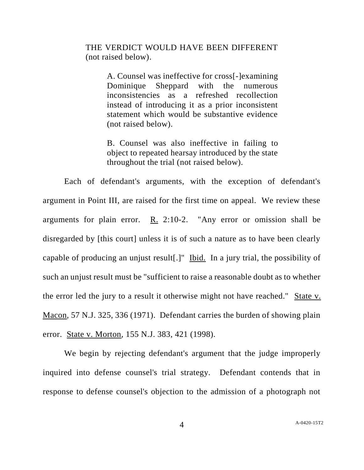THE VERDICT WOULD HAVE BEEN DIFFERENT (not raised below).

> A. Counsel was ineffective for cross[-]examining Dominique Sheppard with the numerous inconsistencies as a refreshed recollection instead of introducing it as a prior inconsistent statement which would be substantive evidence (not raised below).

> B. Counsel was also ineffective in failing to object to repeated hearsay introduced by the state throughout the trial (not raised below).

Each of defendant's arguments, with the exception of defendant's argument in Point III, are raised for the first time on appeal. We review these arguments for plain error. R. 2:10-2. "Any error or omission shall be disregarded by [this court] unless it is of such a nature as to have been clearly capable of producing an unjust result[.]" Ibid. In a jury trial, the possibility of such an unjust result must be "sufficient to raise a reasonable doubt as to whether the error led the jury to a result it otherwise might not have reached." State v. Macon, 57 N.J. 325, 336 (1971). Defendant carries the burden of showing plain error. State v. Morton, 155 N.J. 383, 421 (1998).

We begin by rejecting defendant's argument that the judge improperly inquired into defense counsel's trial strategy. Defendant contends that in response to defense counsel's objection to the admission of a photograph not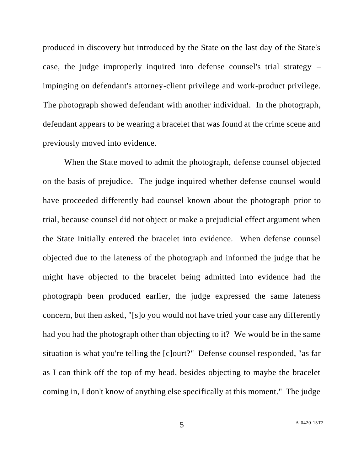produced in discovery but introduced by the State on the last day of the State's case, the judge improperly inquired into defense counsel's trial strategy – impinging on defendant's attorney-client privilege and work-product privilege. The photograph showed defendant with another individual. In the photograph, defendant appears to be wearing a bracelet that was found at the crime scene and previously moved into evidence.

When the State moved to admit the photograph, defense counsel objected on the basis of prejudice. The judge inquired whether defense counsel would have proceeded differently had counsel known about the photograph prior to trial, because counsel did not object or make a prejudicial effect argument when the State initially entered the bracelet into evidence. When defense counsel objected due to the lateness of the photograph and informed the judge that he might have objected to the bracelet being admitted into evidence had the photograph been produced earlier, the judge expressed the same lateness concern, but then asked, "[s]o you would not have tried your case any differently had you had the photograph other than objecting to it? We would be in the same situation is what you're telling the [c]ourt?" Defense counsel responded, "as far as I can think off the top of my head, besides objecting to maybe the bracelet coming in, I don't know of anything else specifically at this moment." The judge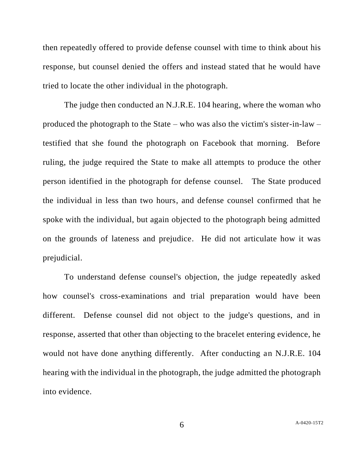then repeatedly offered to provide defense counsel with time to think about his response, but counsel denied the offers and instead stated that he would have tried to locate the other individual in the photograph.

The judge then conducted an N.J.R.E. 104 hearing, where the woman who produced the photograph to the State – who was also the victim's sister-in-law – testified that she found the photograph on Facebook that morning. Before ruling, the judge required the State to make all attempts to produce the other person identified in the photograph for defense counsel. The State produced the individual in less than two hours, and defense counsel confirmed that he spoke with the individual, but again objected to the photograph being admitted on the grounds of lateness and prejudice. He did not articulate how it was prejudicial.

To understand defense counsel's objection, the judge repeatedly asked how counsel's cross-examinations and trial preparation would have been different. Defense counsel did not object to the judge's questions, and in response, asserted that other than objecting to the bracelet entering evidence, he would not have done anything differently. After conducting an N.J.R.E. 104 hearing with the individual in the photograph, the judge admitted the photograph into evidence.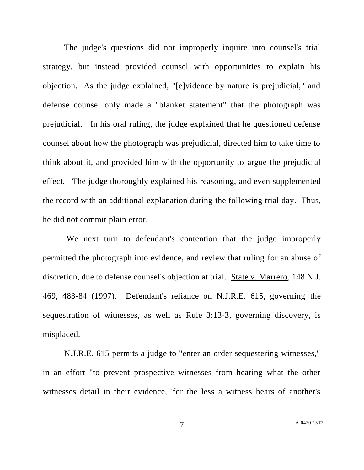The judge's questions did not improperly inquire into counsel's trial strategy, but instead provided counsel with opportunities to explain his objection. As the judge explained, "[e]vidence by nature is prejudicial," and defense counsel only made a "blanket statement" that the photograph was prejudicial. In his oral ruling, the judge explained that he questioned defense counsel about how the photograph was prejudicial, directed him to take time to think about it, and provided him with the opportunity to argue the prejudicial effect. The judge thoroughly explained his reasoning, and even supplemented the record with an additional explanation during the following trial day. Thus, he did not commit plain error.

We next turn to defendant's contention that the judge improperly permitted the photograph into evidence, and review that ruling for an abuse of discretion, due to defense counsel's objection at trial. State v. Marrero, 148 N.J. 469, 483-84 (1997). Defendant's reliance on N.J.R.E. 615, governing the sequestration of witnesses, as well as Rule 3:13-3, governing discovery, is misplaced.

N.J.R.E. 615 permits a judge to "enter an order sequestering witnesses," in an effort "to prevent prospective witnesses from hearing what the other witnesses detail in their evidence, 'for the less a witness hears of another's

7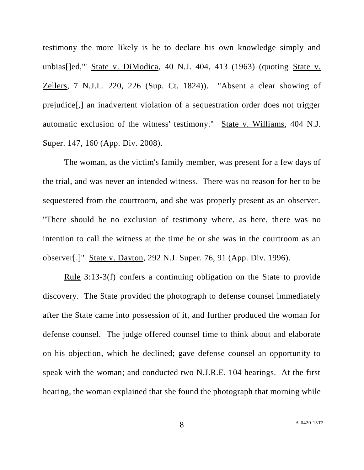testimony the more likely is he to declare his own knowledge simply and unbias[]ed,'" State v. DiModica, 40 N.J. 404, 413 (1963) (quoting State v. Zellers, 7 N.J.L. 220, 226 (Sup. Ct. 1824)). "Absent a clear showing of prejudice[,] an inadvertent violation of a sequestration order does not trigger automatic exclusion of the witness' testimony." State v. Williams, 404 N.J. Super. 147, 160 (App. Div. 2008).

The woman, as the victim's family member, was present for a few days of the trial, and was never an intended witness. There was no reason for her to be sequestered from the courtroom, and she was properly present as an observer. "There should be no exclusion of testimony where, as here, there was no intention to call the witness at the time he or she was in the courtroom as an observer[.]" State v. Dayton, 292 N.J. Super. 76, 91 (App. Div. 1996).

Rule 3:13-3(f) confers a continuing obligation on the State to provide discovery. The State provided the photograph to defense counsel immediately after the State came into possession of it, and further produced the woman for defense counsel. The judge offered counsel time to think about and elaborate on his objection, which he declined; gave defense counsel an opportunity to speak with the woman; and conducted two N.J.R.E. 104 hearings. At the first hearing, the woman explained that she found the photograph that morning while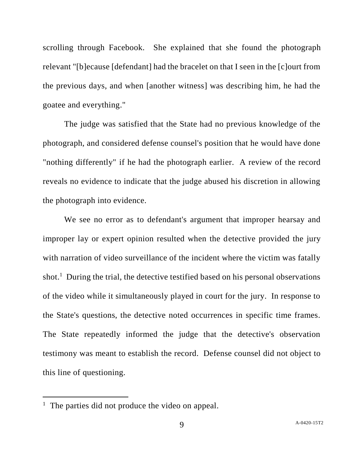scrolling through Facebook. She explained that she found the photograph relevant "[b]ecause [defendant] had the bracelet on that I seen in the [c]ourt from the previous days, and when [another witness] was describing him, he had the goatee and everything."

The judge was satisfied that the State had no previous knowledge of the photograph, and considered defense counsel's position that he would have done "nothing differently" if he had the photograph earlier. A review of the record reveals no evidence to indicate that the judge abused his discretion in allowing the photograph into evidence.

We see no error as to defendant's argument that improper hearsay and improper lay or expert opinion resulted when the detective provided the jury with narration of video surveillance of the incident where the victim was fatally shot.<sup>1</sup> During the trial, the detective testified based on his personal observations of the video while it simultaneously played in court for the jury. In response to the State's questions, the detective noted occurrences in specific time frames. The State repeatedly informed the judge that the detective's observation testimony was meant to establish the record. Defense counsel did not object to this line of questioning.

 $\overline{a}$ 

<sup>&</sup>lt;sup>1</sup> The parties did not produce the video on appeal.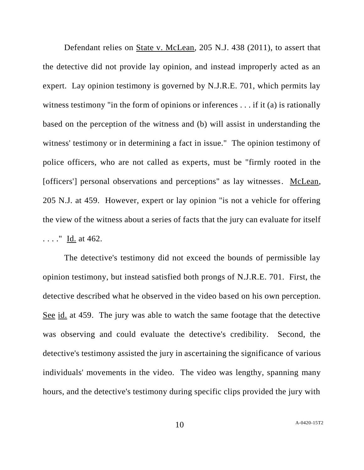Defendant relies on State v. McLean, 205 N.J. 438 (2011), to assert that the detective did not provide lay opinion, and instead improperly acted as an expert. Lay opinion testimony is governed by N.J.R.E. 701, which permits lay witness testimony "in the form of opinions or inferences . . . if it (a) is rationally based on the perception of the witness and (b) will assist in understanding the witness' testimony or in determining a fact in issue." The opinion testimony of police officers, who are not called as experts, must be "firmly rooted in the [officers'] personal observations and perceptions" as lay witnesses. McLean, 205 N.J. at 459. However, expert or lay opinion "is not a vehicle for offering the view of the witness about a series of facts that the jury can evaluate for itself . . . ." Id. at 462.

The detective's testimony did not exceed the bounds of permissible lay opinion testimony, but instead satisfied both prongs of N.J.R.E. 701. First, the detective described what he observed in the video based on his own perception. See id. at 459. The jury was able to watch the same footage that the detective was observing and could evaluate the detective's credibility. Second, the detective's testimony assisted the jury in ascertaining the significance of various individuals' movements in the video. The video was lengthy, spanning many hours, and the detective's testimony during specific clips provided the jury with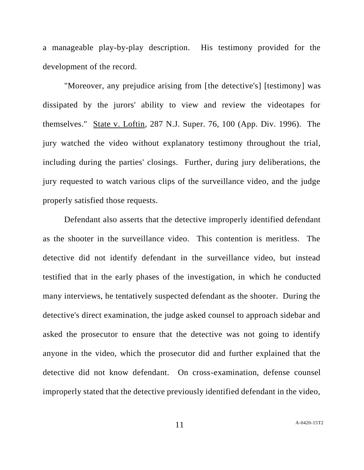a manageable play-by-play description. His testimony provided for the development of the record.

"Moreover, any prejudice arising from [the detective's] [testimony] was dissipated by the jurors' ability to view and review the videotapes for themselves." State v. Loftin, 287 N.J. Super. 76, 100 (App. Div. 1996). The jury watched the video without explanatory testimony throughout the trial, including during the parties' closings. Further, during jury deliberations, the jury requested to watch various clips of the surveillance video, and the judge properly satisfied those requests.

Defendant also asserts that the detective improperly identified defendant as the shooter in the surveillance video. This contention is meritless. The detective did not identify defendant in the surveillance video, but instead testified that in the early phases of the investigation, in which he conducted many interviews, he tentatively suspected defendant as the shooter. During the detective's direct examination, the judge asked counsel to approach sidebar and asked the prosecutor to ensure that the detective was not going to identify anyone in the video, which the prosecutor did and further explained that the detective did not know defendant. On cross-examination, defense counsel improperly stated that the detective previously identified defendant in the video,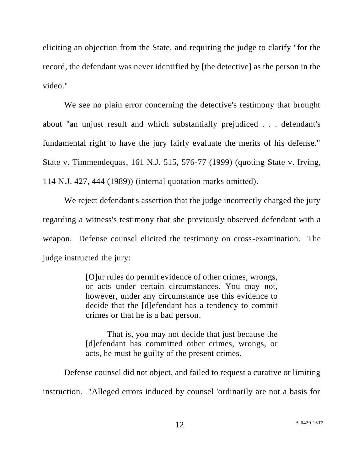eliciting an objection from the State, and requiring the judge to clarify "for the record, the defendant was never identified by [the detective] as the person in the video."

We see no plain error concerning the detective's testimony that brought about "an unjust result and which substantially prejudiced . . . defendant's fundamental right to have the jury fairly evaluate the merits of his defense." State v. Timmendequas, 161 N.J. 515, 576-77 (1999) (quoting State v. Irving, 114 N.J. 427, 444 (1989)) (internal quotation marks omitted).

We reject defendant's assertion that the judge incorrectly charged the jury regarding a witness's testimony that she previously observed defendant with a weapon. Defense counsel elicited the testimony on cross-examination. The judge instructed the jury:

> [O]ur rules do permit evidence of other crimes, wrongs, or acts under certain circumstances. You may not, however, under any circumstance use this evidence to decide that the [d]efendant has a tendency to commit crimes or that he is a bad person.

> That is, you may not decide that just because the [d]efendant has committed other crimes, wrongs, or acts, he must be guilty of the present crimes.

Defense counsel did not object, and failed to request a curative or limiting instruction. "Alleged errors induced by counsel 'ordinarily are not a basis for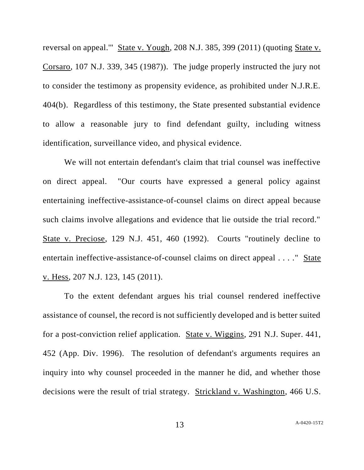reversal on appeal.'" State v. Yough, 208 N.J. 385, 399 (2011) (quoting State v. Corsaro, 107 N.J. 339, 345 (1987)). The judge properly instructed the jury not to consider the testimony as propensity evidence, as prohibited under N.J.R.E. 404(b). Regardless of this testimony, the State presented substantial evidence to allow a reasonable jury to find defendant guilty, including witness identification, surveillance video, and physical evidence.

We will not entertain defendant's claim that trial counsel was ineffective on direct appeal. "Our courts have expressed a general policy against entertaining ineffective-assistance-of-counsel claims on direct appeal because such claims involve allegations and evidence that lie outside the trial record." State v. Preciose, 129 N.J. 451, 460 (1992). Courts "routinely decline to entertain ineffective-assistance-of-counsel claims on direct appeal . . . ." State v. Hess, 207 N.J. 123, 145 (2011).

To the extent defendant argues his trial counsel rendered ineffective assistance of counsel, the record is not sufficiently developed and is better suited for a post-conviction relief application. State v. Wiggins, 291 N.J. Super. 441, 452 (App. Div. 1996). The resolution of defendant's arguments requires an inquiry into why counsel proceeded in the manner he did, and whether those decisions were the result of trial strategy. Strickland v. Washington, 466 U.S.